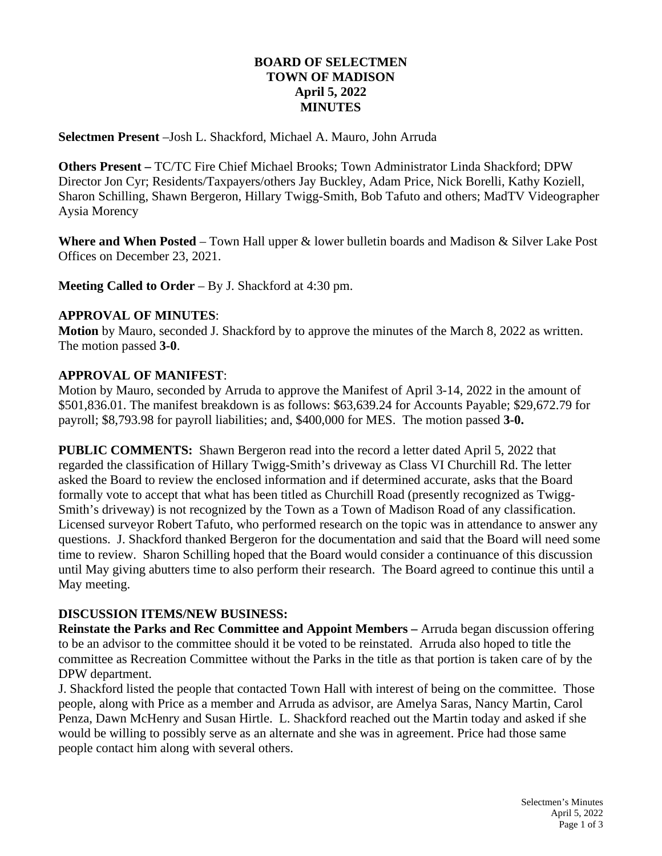## **BOARD OF SELECTMEN TOWN OF MADISON April 5, 2022 MINUTES**

**Selectmen Present** –Josh L. Shackford, Michael A. Mauro, John Arruda

**Others Present –** TC/TC Fire Chief Michael Brooks; Town Administrator Linda Shackford; DPW Director Jon Cyr; Residents/Taxpayers/others Jay Buckley, Adam Price, Nick Borelli, Kathy Koziell, Sharon Schilling, Shawn Bergeron, Hillary Twigg-Smith, Bob Tafuto and others; MadTV Videographer Aysia Morency

**Where and When Posted** – Town Hall upper & lower bulletin boards and Madison & Silver Lake Post Offices on December 23, 2021.

**Meeting Called to Order** – By J. Shackford at 4:30 pm.

### **APPROVAL OF MINUTES**:

**Motion** by Mauro, seconded J. Shackford by to approve the minutes of the March 8, 2022 as written. The motion passed **3-0**.

### **APPROVAL OF MANIFEST**:

Motion by Mauro, seconded by Arruda to approve the Manifest of April 3-14, 2022 in the amount of \$501,836.01. The manifest breakdown is as follows: \$63,639.24 for Accounts Payable; \$29,672.79 for payroll; \$8,793.98 for payroll liabilities; and, \$400,000 for MES. The motion passed **3-0.**

**PUBLIC COMMENTS:** Shawn Bergeron read into the record a letter dated April 5, 2022 that regarded the classification of Hillary Twigg-Smith's driveway as Class VI Churchill Rd. The letter asked the Board to review the enclosed information and if determined accurate, asks that the Board formally vote to accept that what has been titled as Churchill Road (presently recognized as Twigg-Smith's driveway) is not recognized by the Town as a Town of Madison Road of any classification. Licensed surveyor Robert Tafuto, who performed research on the topic was in attendance to answer any questions. J. Shackford thanked Bergeron for the documentation and said that the Board will need some time to review. Sharon Schilling hoped that the Board would consider a continuance of this discussion until May giving abutters time to also perform their research. The Board agreed to continue this until a May meeting.

#### **DISCUSSION ITEMS/NEW BUSINESS:**

**Reinstate the Parks and Rec Committee and Appoint Members –** Arruda began discussion offering to be an advisor to the committee should it be voted to be reinstated. Arruda also hoped to title the committee as Recreation Committee without the Parks in the title as that portion is taken care of by the DPW department.

J. Shackford listed the people that contacted Town Hall with interest of being on the committee. Those people, along with Price as a member and Arruda as advisor, are Amelya Saras, Nancy Martin, Carol Penza, Dawn McHenry and Susan Hirtle. L. Shackford reached out the Martin today and asked if she would be willing to possibly serve as an alternate and she was in agreement. Price had those same people contact him along with several others.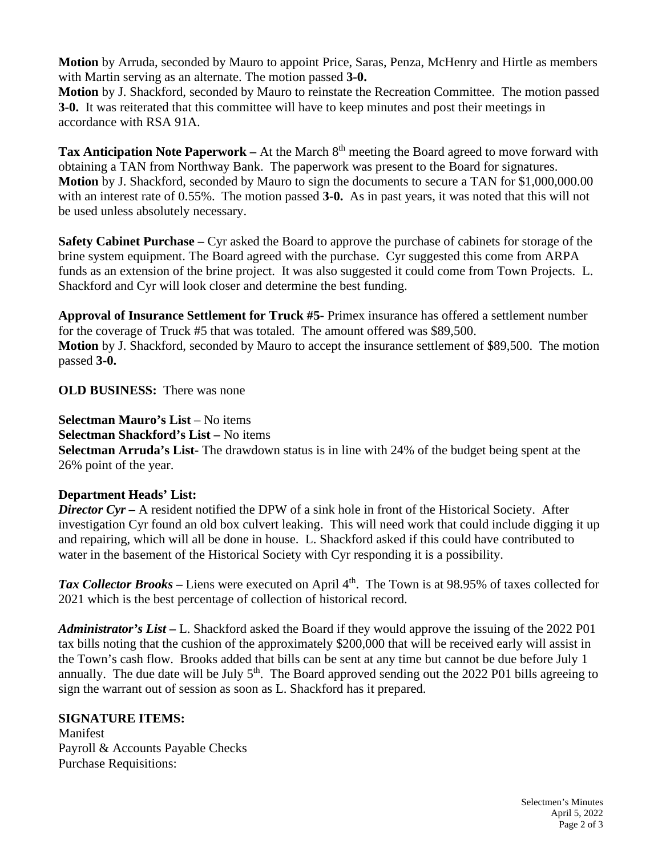**Motion** by Arruda, seconded by Mauro to appoint Price, Saras, Penza, McHenry and Hirtle as members with Martin serving as an alternate. The motion passed **3-0.**

**Motion** by J. Shackford, seconded by Mauro to reinstate the Recreation Committee. The motion passed **3-0.** It was reiterated that this committee will have to keep minutes and post their meetings in accordance with RSA 91A.

**Tax Anticipation Note Paperwork** – At the March 8<sup>th</sup> meeting the Board agreed to move forward with obtaining a TAN from Northway Bank. The paperwork was present to the Board for signatures. **Motion** by J. Shackford, seconded by Mauro to sign the documents to secure a TAN for \$1,000,000.00 with an interest rate of 0.55%. The motion passed **3-0.** As in past years, it was noted that this will not be used unless absolutely necessary.

**Safety Cabinet Purchase –** Cyr asked the Board to approve the purchase of cabinets for storage of the brine system equipment. The Board agreed with the purchase. Cyr suggested this come from ARPA funds as an extension of the brine project. It was also suggested it could come from Town Projects. L. Shackford and Cyr will look closer and determine the best funding.

**Approval of Insurance Settlement for Truck #5-** Primex insurance has offered a settlement number for the coverage of Truck #5 that was totaled. The amount offered was \$89,500. **Motion** by J. Shackford, seconded by Mauro to accept the insurance settlement of \$89,500. The motion passed **3-0.** 

**OLD BUSINESS:** There was none

**Selectman Mauro's List** – No items

**Selectman Shackford's List –** No items

**Selectman Arruda's List-** The drawdown status is in line with 24% of the budget being spent at the 26% point of the year.

# **Department Heads' List:**

*Director Cyr –* A resident notified the DPW of a sink hole in front of the Historical Society. After investigation Cyr found an old box culvert leaking. This will need work that could include digging it up and repairing, which will all be done in house. L. Shackford asked if this could have contributed to water in the basement of the Historical Society with Cyr responding it is a possibility.

**Tax Collector Brooks** – Liens were executed on April 4<sup>th</sup>. The Town is at 98.95% of taxes collected for 2021 which is the best percentage of collection of historical record.

*Administrator's List –* L. Shackford asked the Board if they would approve the issuing of the 2022 P01 tax bills noting that the cushion of the approximately \$200,000 that will be received early will assist in the Town's cash flow. Brooks added that bills can be sent at any time but cannot be due before July 1 annually. The due date will be July  $5<sup>th</sup>$ . The Board approved sending out the 2022 P01 bills agreeing to sign the warrant out of session as soon as L. Shackford has it prepared.

# **SIGNATURE ITEMS:**

Manifest Payroll & Accounts Payable Checks Purchase Requisitions: